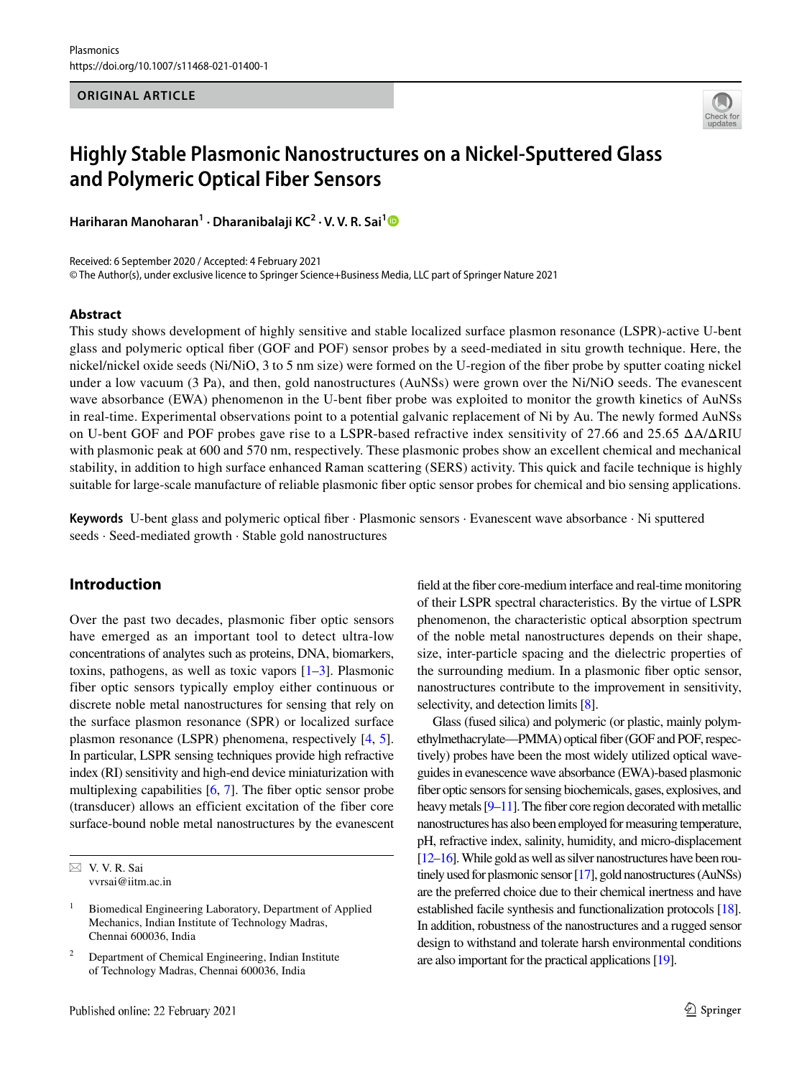#### **ORIGINAL ARTICLE**



# **Highly Stable Plasmonic Nanostructures on a Nickel‑Sputtered Glass and Polymeric Optical Fiber Sensors**

**Hariharan Manoharan<sup>1</sup> · Dharanibalaji KC<sup>2</sup> · V. V. R. Sai[1](http://orcid.org/0000-0001-5574-8735)**

Received: 6 September 2020 / Accepted: 4 February 2021 © The Author(s), under exclusive licence to Springer Science+Business Media, LLC part of Springer Nature 2021

#### **Abstract**

This study shows development of highly sensitive and stable localized surface plasmon resonance (LSPR)-active U-bent glass and polymeric optical fiber (GOF and POF) sensor probes by a seed-mediated in situ growth technique. Here, the nickel/nickel oxide seeds (Ni/NiO, 3 to 5 nm size) were formed on the U-region of the fiber probe by sputter coating nickel under a low vacuum (3 Pa), and then, gold nanostructures (AuNSs) were grown over the Ni/NiO seeds. The evanescent wave absorbance (EWA) phenomenon in the U-bent fiber probe was exploited to monitor the growth kinetics of AuNSs in real-time. Experimental observations point to a potential galvanic replacement of Ni by Au. The newly formed AuNSs on U-bent GOF and POF probes gave rise to a LSPR-based refractive index sensitivity of 27.66 and 25.65 ΔA/ΔRIU with plasmonic peak at 600 and 570 nm, respectively. These plasmonic probes show an excellent chemical and mechanical stability, in addition to high surface enhanced Raman scattering (SERS) activity. This quick and facile technique is highly suitable for large-scale manufacture of reliable plasmonic fiber optic sensor probes for chemical and bio sensing applications.

**Keywords** U-bent glass and polymeric optical fiber · Plasmonic sensors · Evanescent wave absorbance · Ni sputtered seeds · Seed-mediated growth · Stable gold nanostructures

## **Introduction**

Over the past two decades, plasmonic fiber optic sensors have emerged as an important tool to detect ultra-low concentrations of analytes such as proteins, DNA, biomarkers, toxins, pathogens, as well as toxic vapors [\[1](#page-9-0)[–3\]](#page-9-1). Plasmonic fiber optic sensors typically employ either continuous or discrete noble metal nanostructures for sensing that rely on the surface plasmon resonance (SPR) or localized surface plasmon resonance (LSPR) phenomena, respectively [\[4,](#page-9-2) [5](#page-9-3)]. In particular, LSPR sensing techniques provide high refractive index (RI) sensitivity and high-end device miniaturization with multiplexing capabilities [\[6](#page-9-4), [7](#page-9-5)]. The fiber optic sensor probe (transducer) allows an efficient excitation of the fiber core surface-bound noble metal nanostructures by the evanescent field at the fiber core-medium interface and real-time monitoring of their LSPR spectral characteristics. By the virtue of LSPR phenomenon, the characteristic optical absorption spectrum of the noble metal nanostructures depends on their shape, size, inter-particle spacing and the dielectric properties of the surrounding medium. In a plasmonic fiber optic sensor, nanostructures contribute to the improvement in sensitivity, selectivity, and detection limits [\[8\]](#page-9-6).

Glass (fused silica) and polymeric (or plastic, mainly polymethylmethacrylate—PMMA) optical fiber (GOF and POF, respectively) probes have been the most widely utilized optical waveguides in evanescence wave absorbance (EWA)-based plasmonic fiber optic sensors for sensing biochemicals, gases, explosives, and heavy metals [\[9](#page-9-7)[–11](#page-9-8)]. The fiber core region decorated with metallic nanostructures has also been employed for measuring temperature, pH, refractive index, salinity, humidity, and micro-displacement [\[12](#page-9-9)[–16\]](#page-10-0). While gold as well as silver nanostructures have been routinely used for plasmonic sensor [\[17](#page-10-1)], gold nanostructures (AuNSs) are the preferred choice due to their chemical inertness and have established facile synthesis and functionalization protocols [\[18\]](#page-10-2). In addition, robustness of the nanostructures and a rugged sensor design to withstand and tolerate harsh environmental conditions are also important for the practical applications [\[19](#page-10-3)].

 $\boxtimes$  V. V. R. Sai vvrsai@iitm.ac.in

<sup>1</sup> Biomedical Engineering Laboratory, Department of Applied Mechanics, Indian Institute of Technology Madras, Chennai 600036, India

<sup>2</sup> Department of Chemical Engineering, Indian Institute of Technology Madras, Chennai 600036, India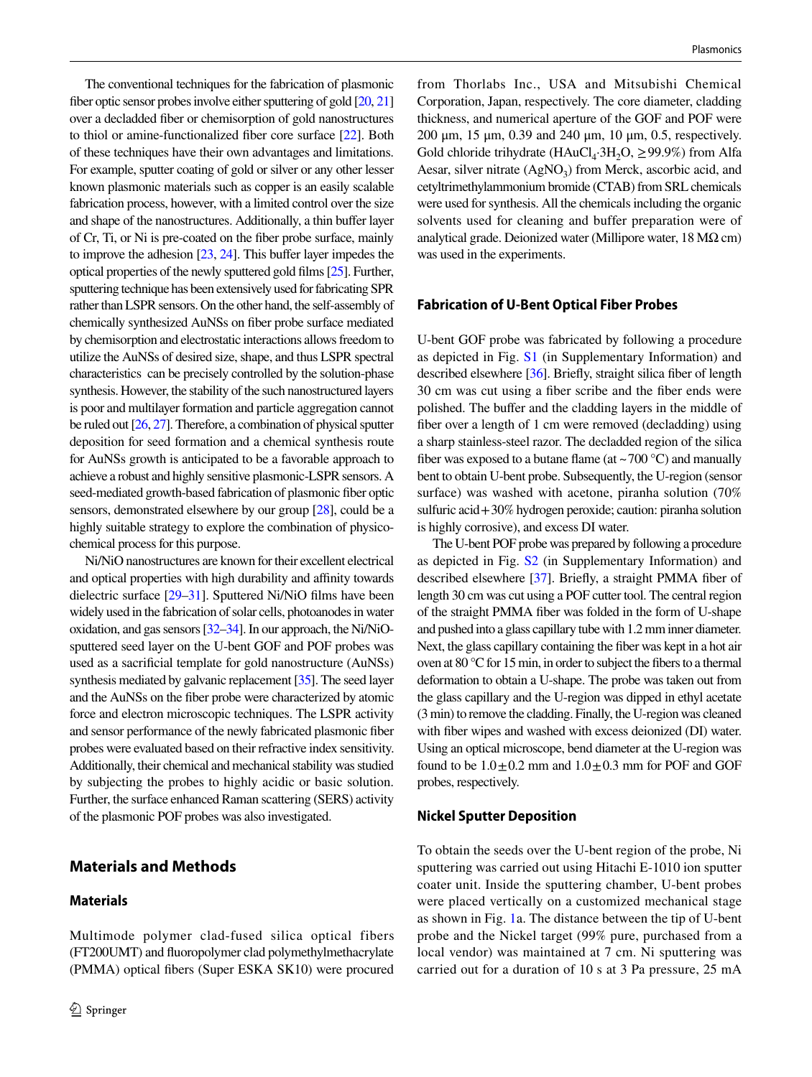The conventional techniques for the fabrication of plasmonic fiber optic sensor probes involve either sputtering of gold [\[20](#page-10-4), [21\]](#page-10-5) over a decladded fiber or chemisorption of gold nanostructures to thiol or amine-functionalized fiber core surface [\[22\]](#page-10-6). Both of these techniques have their own advantages and limitations. For example, sputter coating of gold or silver or any other lesser known plasmonic materials such as copper is an easily scalable fabrication process, however, with a limited control over the size and shape of the nanostructures. Additionally, a thin buffer layer of Cr, Ti, or Ni is pre-coated on the fiber probe surface, mainly to improve the adhesion [\[23,](#page-10-7) [24\]](#page-10-8). This buffer layer impedes the optical properties of the newly sputtered gold films [[25](#page-10-9)]. Further, sputtering technique has been extensively used for fabricating SPR rather than LSPR sensors. On the other hand, the self-assembly of chemically synthesized AuNSs on fiber probe surface mediated by chemisorption and electrostatic interactions allows freedom to utilize the AuNSs of desired size, shape, and thus LSPR spectral characteristics can be precisely controlled by the solution-phase synthesis. However, the stability of the such nanostructured layers is poor and multilayer formation and particle aggregation cannot be ruled out [\[26](#page-10-10), [27\]](#page-10-11). Therefore, a combination of physical sputter deposition for seed formation and a chemical synthesis route for AuNSs growth is anticipated to be a favorable approach to achieve a robust and highly sensitive plasmonic-LSPR sensors. A seed-mediated growth-based fabrication of plasmonic fiber optic sensors, demonstrated elsewhere by our group [\[28\]](#page-10-12), could be a highly suitable strategy to explore the combination of physicochemical process for this purpose.

Ni/NiO nanostructures are known for their excellent electrical and optical properties with high durability and affinity towards dielectric surface [[29](#page-10-13)[–31\]](#page-10-14). Sputtered Ni/NiO films have been widely used in the fabrication of solar cells, photoanodes in water oxidation, and gas sensors [\[32](#page-10-15)[–34](#page-10-16)]. In our approach, the Ni/NiOsputtered seed layer on the U-bent GOF and POF probes was used as a sacrificial template for gold nanostructure (AuNSs) synthesis mediated by galvanic replacement [[35](#page-10-17)]. The seed layer and the AuNSs on the fiber probe were characterized by atomic force and electron microscopic techniques. The LSPR activity and sensor performance of the newly fabricated plasmonic fiber probes were evaluated based on their refractive index sensitivity. Additionally, their chemical and mechanical stability was studied by subjecting the probes to highly acidic or basic solution. Further, the surface enhanced Raman scattering (SERS) activity of the plasmonic POF probes was also investigated.

# **Materials and Methods**

#### **Materials**

from Thorlabs Inc., USA and Mitsubishi Chemical Corporation, Japan, respectively. The core diameter, cladding thickness, and numerical aperture of the GOF and POF were 200 μm, 15 μm, 0.39 and 240 μm, 10 μm, 0.5, respectively. Gold chloride trihydrate  $(HAuCl<sub>4</sub>:3H<sub>2</sub>O, \geq 99.9%)$  from Alfa Aesar, silver nitrate (AgNO<sub>3</sub>) from Merck, ascorbic acid, and cetyltrimethylammonium bromide (CTAB) from SRL chemicals were used for synthesis. All the chemicals including the organic solvents used for cleaning and buffer preparation were of analytical grade. Deionized water (Millipore water,  $18 \text{ M}\Omega \text{ cm}$ ) was used in the experiments.

#### **Fabrication of U‑Bent Optical Fiber Probes**

U-bent GOF probe was fabricated by following a procedure as depicted in Fig. S1 (in Supplementary Information) and described elsewhere [[36](#page-10-18)]. Briefly, straight silica fiber of length 30 cm was cut using a fiber scribe and the fiber ends were polished. The buffer and the cladding layers in the middle of fiber over a length of 1 cm were removed (decladding) using a sharp stainless-steel razor. The decladded region of the silica fiber was exposed to a butane flame (at  $\sim$  700 °C) and manually bent to obtain U-bent probe. Subsequently, the U-region (sensor surface) was washed with acetone, piranha solution (70% sulfuric acid + 30% hydrogen peroxide; caution: piranha solution is highly corrosive), and excess DI water.

The U-bent POF probe was prepared by following a procedure as depicted in Fig. S2 (in Supplementary Information) and described elsewhere [[37](#page-10-19)]. Briefly, a straight PMMA fiber of length 30 cm was cut using a POF cutter tool. The central region of the straight PMMA fiber was folded in the form of U-shape and pushed into a glass capillary tube with 1.2 mm inner diameter. Next, the glass capillary containing the fiber was kept in a hot air oven at 80 °C for 15 min, in order to subject the fibers to a thermal deformation to obtain a U-shape. The probe was taken out from the glass capillary and the U-region was dipped in ethyl acetate (3 min) to remove the cladding. Finally, the U-region was cleaned with fiber wipes and washed with excess deionized (DI) water. Using an optical microscope, bend diameter at the U-region was found to be  $1.0 \pm 0.2$  mm and  $1.0 \pm 0.3$  mm for POF and GOF probes, respectively.

#### **Nickel Sputter Deposition**

To obtain the seeds over the U-bent region of the probe, Ni sputtering was carried out using Hitachi E-1010 ion sputter coater unit. Inside the sputtering chamber, U-bent probes were placed vertically on a customized mechanical stage as shown in Fig. [1a](#page-2-0). The distance between the tip of U-bent probe and the Nickel target (99% pure, purchased from a local vendor) was maintained at 7 cm. Ni sputtering was carried out for a duration of 10 s at 3 Pa pressure, 25 mA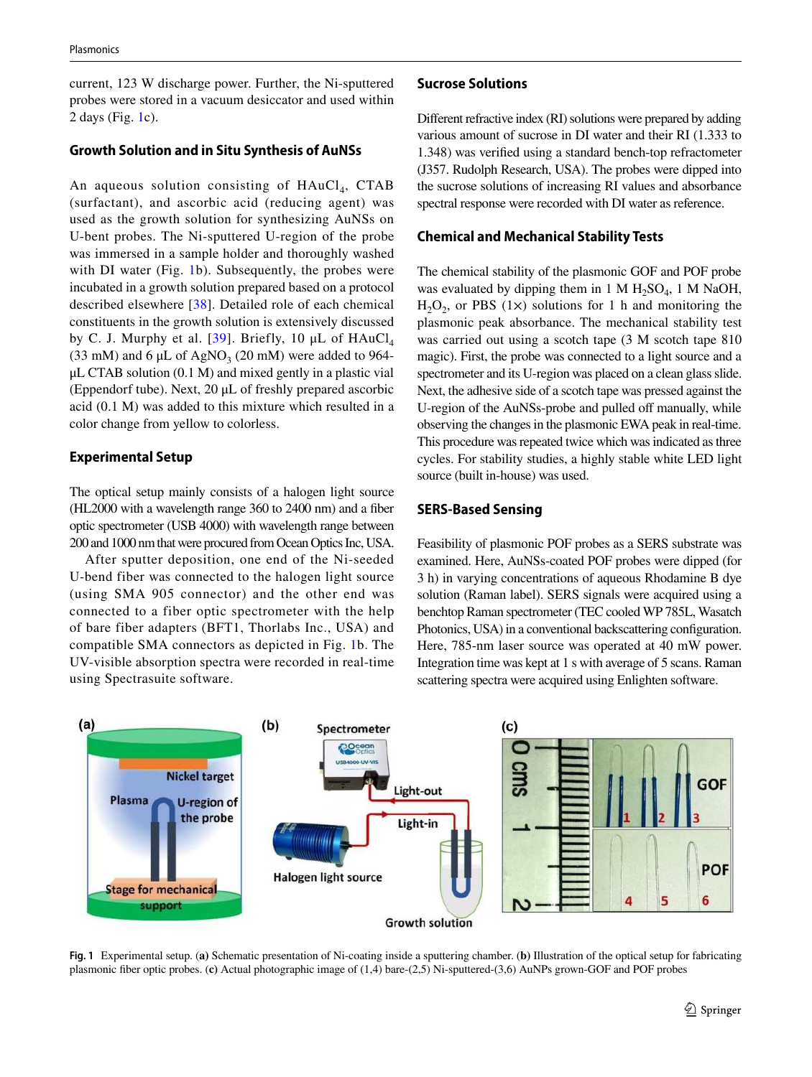current, 123 W discharge power. Further, the Ni-sputtered probes were stored in a vacuum desiccator and used within 2 days (Fig. [1c](#page-2-0)).

#### **Growth Solution and in Situ Synthesis of AuNSs**

An aqueous solution consisting of HAuCl<sub>4</sub>, CTAB (surfactant), and ascorbic acid (reducing agent) was used as the growth solution for synthesizing AuNSs on U-bent probes. The Ni-sputtered U-region of the probe was immersed in a sample holder and thoroughly washed with DI water (Fig. [1b](#page-2-0)). Subsequently, the probes were incubated in a growth solution prepared based on a protocol described elsewhere [[38](#page-10-20)]. Detailed role of each chemical constituents in the growth solution is extensively discussed by C. J. Murphy et al. [[39](#page-10-21)]. Briefly, 10  $\mu$ L of HAuCl<sub>4</sub> (33 mM) and 6  $\mu$ L of AgNO<sub>3</sub> (20 mM) were added to 964- $\mu$ L CTAB solution (0.1 M) and mixed gently in a plastic vial (Eppendorf tube). Next, 20 μL of freshly prepared ascorbic acid (0.1 M) was added to this mixture which resulted in a color change from yellow to colorless.

#### **Experimental Setup**

The optical setup mainly consists of a halogen light source (HL2000 with a wavelength range 360 to 2400 nm) and a fiber optic spectrometer (USB 4000) with wavelength range between 200 and 1000 nm that were procured from Ocean Optics Inc, USA.

After sputter deposition, one end of the Ni-seeded U-bend fiber was connected to the halogen light source (using SMA 905 connector) and the other end was connected to a fiber optic spectrometer with the help of bare fiber adapters (BFT1, Thorlabs Inc., USA) and compatible SMA connectors as depicted in Fig. [1](#page-2-0)b. The UV-visible absorption spectra were recorded in real-time using Spectrasuite software.

#### **Sucrose Solutions**

Different refractive index (RI) solutions were prepared by adding various amount of sucrose in DI water and their RI (1.333 to 1.348) was verified using a standard bench-top refractometer (J357. Rudolph Research, USA). The probes were dipped into the sucrose solutions of increasing RI values and absorbance spectral response were recorded with DI water as reference.

#### **Chemical and Mechanical Stability Tests**

The chemical stability of the plasmonic GOF and POF probe was evaluated by dipping them in 1 M  $H_2SO_4$ , 1 M NaOH,  $H_2O_2$ , or PBS (1×) solutions for 1 h and monitoring the plasmonic peak absorbance. The mechanical stability test was carried out using a scotch tape (3 M scotch tape 810 magic). First, the probe was connected to a light source and a spectrometer and its U-region was placed on a clean glass slide. Next, the adhesive side of a scotch tape was pressed against the U-region of the AuNSs-probe and pulled off manually, while observing the changes in the plasmonic EWA peak in real-time. This procedure was repeated twice which was indicated as three cycles. For stability studies, a highly stable white LED light source (built in-house) was used.

#### **SERS‑Based Sensing**

Feasibility of plasmonic POF probes as a SERS substrate was examined. Here, AuNSs-coated POF probes were dipped (for 3 h) in varying concentrations of aqueous Rhodamine B dye solution (Raman label). SERS signals were acquired using a benchtop Raman spectrometer (TEC cooled WP 785L, Wasatch Photonics, USA) in a conventional backscattering configuration. Here, 785-nm laser source was operated at 40 mW power. Integration time was kept at 1 s with average of 5 scans. Raman scattering spectra were acquired using Enlighten software.



<span id="page-2-0"></span>**Fig. 1** Experimental setup. (**a)** Schematic presentation of Ni-coating inside a sputtering chamber. (**b)** Illustration of the optical setup for fabricating plasmonic fiber optic probes. (**c)** Actual photographic image of (1,4) bare-(2,5) Ni-sputtered-(3,6) AuNPs grown-GOF and POF probes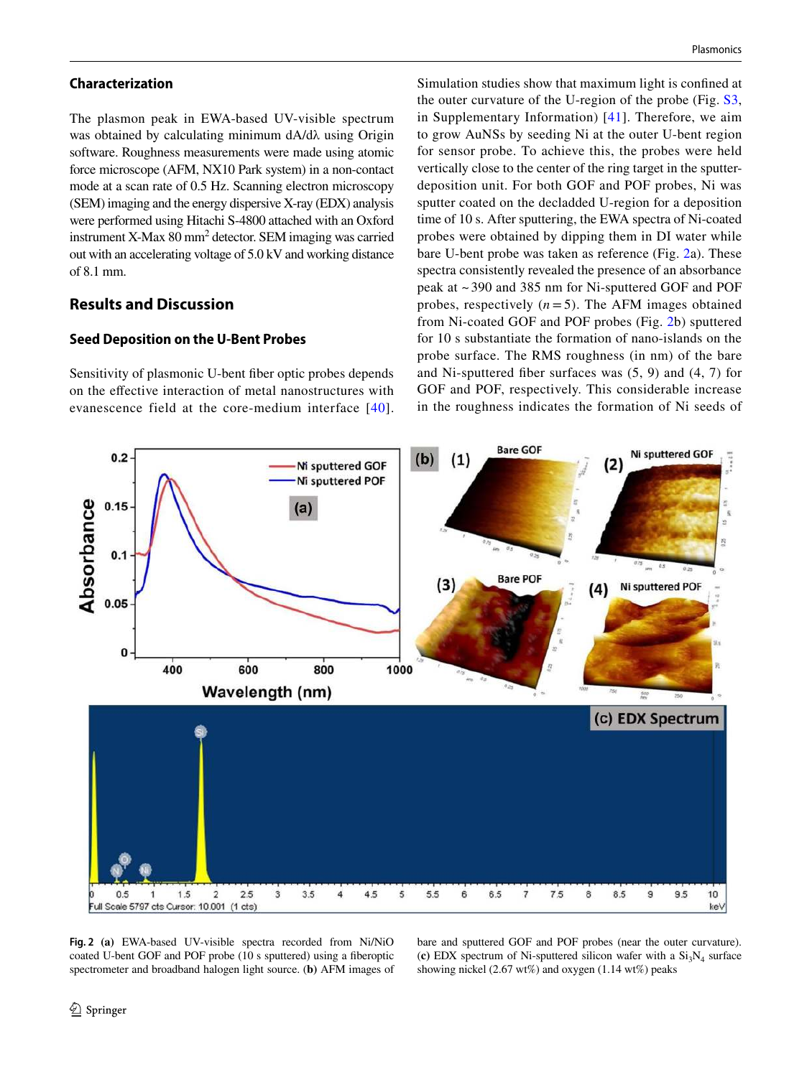#### **Characterization**

The plasmon peak in EWA-based UV-visible spectrum was obtained by calculating minimum dA/dλ using Origin software. Roughness measurements were made using atomic force microscope (AFM, NX10 Park system) in a non-contact mode at a scan rate of 0.5 Hz. Scanning electron microscopy (SEM) imaging and the energy dispersive X-ray (EDX) analysis were performed using Hitachi S-4800 attached with an Oxford instrument X-Max 80 mm<sup>2</sup> detector. SEM imaging was carried out with an accelerating voltage of 5.0 kV and working distance of 8.1 mm.

# **Results and Discussion**

### **Seed Deposition on the U‑Bent Probes**

Sensitivity of plasmonic U-bent fiber optic probes depends on the effective interaction of metal nanostructures with evanescence field at the core-medium interface [[40\]](#page-10-22). Simulation studies show that maximum light is confined at the outer curvature of the U-region of the probe (Fig. S3, in Supplementary Information) [[41](#page-10-23)]. Therefore, we aim to grow AuNSs by seeding Ni at the outer U-bent region for sensor probe. To achieve this, the probes were held vertically close to the center of the ring target in the sputterdeposition unit. For both GOF and POF probes, Ni was sputter coated on the decladded U-region for a deposition time of 10 s. After sputtering, the EWA spectra of Ni-coated probes were obtained by dipping them in DI water while bare U-bent probe was taken as reference (Fig. [2a](#page-3-0)). These spectra consistently revealed the presence of an absorbance peak at ~ 390 and 385 nm for Ni-sputtered GOF and POF probes, respectively  $(n=5)$ . The AFM images obtained from Ni-coated GOF and POF probes (Fig. [2b](#page-3-0)) sputtered for 10 s substantiate the formation of nano-islands on the probe surface. The RMS roughness (in nm) of the bare and Ni-sputtered fiber surfaces was (5, 9) and (4, 7) for GOF and POF, respectively. This considerable increase in the roughness indicates the formation of Ni seeds of



<span id="page-3-0"></span>**Fig. 2 (a)** EWA-based UV-visible spectra recorded from Ni/NiO coated U-bent GOF and POF probe (10 s sputtered) using a fiberoptic spectrometer and broadband halogen light source. (**b)** AFM images of bare and sputtered GOF and POF probes (near the outer curvature). (c) EDX spectrum of Ni-sputtered silicon wafer with a  $Si<sub>3</sub>N<sub>4</sub>$  surface showing nickel (2.67 wt%) and oxygen (1.14 wt%) peaks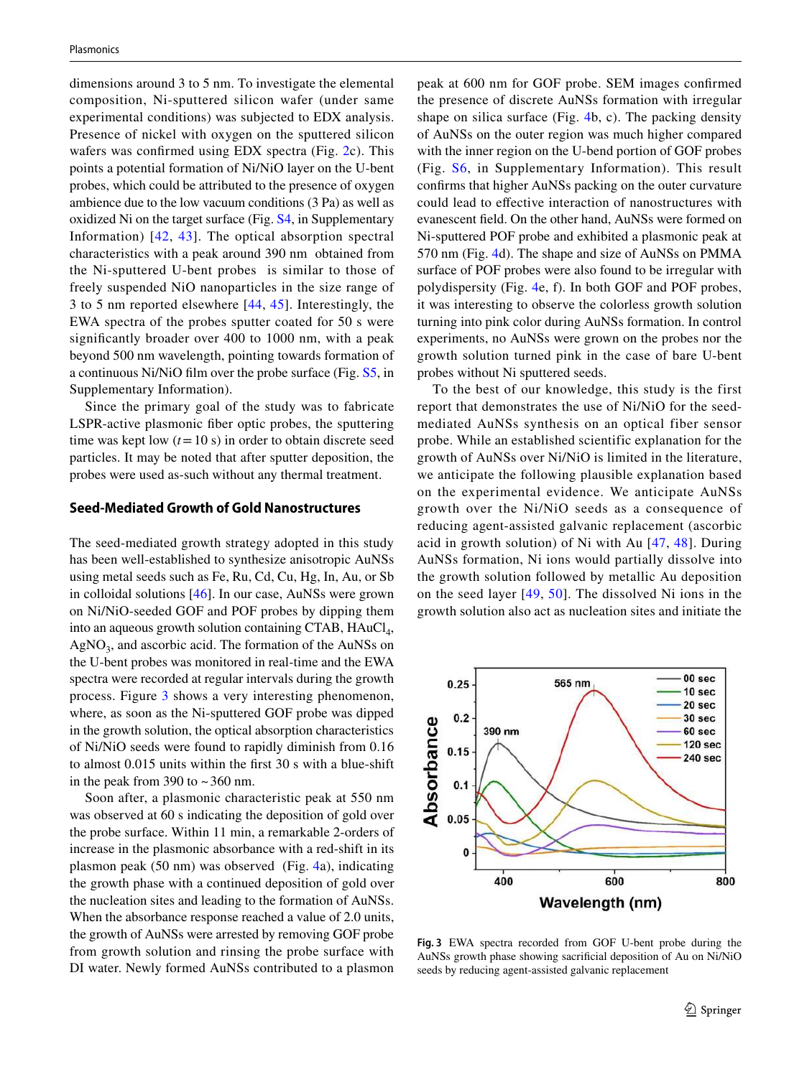dimensions around 3 to 5 nm. To investigate the elemental composition, Ni-sputtered silicon wafer (under same experimental conditions) was subjected to EDX analysis. Presence of nickel with oxygen on the sputtered silicon wafers was confirmed using EDX spectra (Fig. [2c](#page-3-0)). This points a potential formation of Ni/NiO layer on the U-bent probes, which could be attributed to the presence of oxygen ambience due to the low vacuum conditions (3 Pa) as well as oxidized Ni on the target surface (Fig. S4, in Supplementary Information) [[42](#page-10-24), [43\]](#page-10-25). The optical absorption spectral characteristics with a peak around 390 nm obtained from the Ni-sputtered U-bent probes is similar to those of freely suspended NiO nanoparticles in the size range of 3 to 5 nm reported elsewhere [[44](#page-10-26), [45\]](#page-10-27). Interestingly, the EWA spectra of the probes sputter coated for 50 s were significantly broader over 400 to 1000 nm, with a peak beyond 500 nm wavelength, pointing towards formation of a continuous Ni/NiO film over the probe surface (Fig. S5, in Supplementary Information).

Since the primary goal of the study was to fabricate LSPR-active plasmonic fiber optic probes, the sputtering time was kept low  $(t = 10 s)$  in order to obtain discrete seed particles. It may be noted that after sputter deposition, the probes were used as-such without any thermal treatment.

#### **Seed‑Mediated Growth of Gold Nanostructures**

The seed-mediated growth strategy adopted in this study has been well-established to synthesize anisotropic AuNSs using metal seeds such as Fe, Ru, Cd, Cu, Hg, In, Au, or Sb in colloidal solutions [[46](#page-10-28)]. In our case, AuNSs were grown on Ni/NiO-seeded GOF and POF probes by dipping them into an aqueous growth solution containing CTAB,  $HAuCl<sub>4</sub>$ , AgNO<sub>3</sub>, and ascorbic acid. The formation of the AuNSs on the U-bent probes was monitored in real-time and the EWA spectra were recorded at regular intervals during the growth process. Figure [3](#page-4-0) shows a very interesting phenomenon, where, as soon as the Ni-sputtered GOF probe was dipped in the growth solution, the optical absorption characteristics of Ni/NiO seeds were found to rapidly diminish from 0.16 to almost 0.015 units within the first 30 s with a blue-shift in the peak from 390 to  $\sim$  360 nm.

Soon after, a plasmonic characteristic peak at 550 nm was observed at 60 s indicating the deposition of gold over the probe surface. Within 11 min, a remarkable 2-orders of increase in the plasmonic absorbance with a red-shift in its plasmon peak (50 nm) was observed (Fig. [4a](#page-5-0)), indicating the growth phase with a continued deposition of gold over the nucleation sites and leading to the formation of AuNSs. When the absorbance response reached a value of 2.0 units, the growth of AuNSs were arrested by removing GOF probe from growth solution and rinsing the probe surface with DI water. Newly formed AuNSs contributed to a plasmon peak at 600 nm for GOF probe. SEM images confirmed the presence of discrete AuNSs formation with irregular shape on silica surface (Fig. [4b](#page-5-0), c). The packing density of AuNSs on the outer region was much higher compared with the inner region on the U-bend portion of GOF probes (Fig. S6, in Supplementary Information). This result confirms that higher AuNSs packing on the outer curvature could lead to effective interaction of nanostructures with evanescent field. On the other hand, AuNSs were formed on Ni-sputtered POF probe and exhibited a plasmonic peak at 570 nm (Fig. [4](#page-5-0)d). The shape and size of AuNSs on PMMA surface of POF probes were also found to be irregular with polydispersity (Fig. [4e](#page-5-0), f). In both GOF and POF probes, it was interesting to observe the colorless growth solution turning into pink color during AuNSs formation. In control experiments, no AuNSs were grown on the probes nor the growth solution turned pink in the case of bare U-bent probes without Ni sputtered seeds.

To the best of our knowledge, this study is the first report that demonstrates the use of Ni/NiO for the seedmediated AuNSs synthesis on an optical fiber sensor probe. While an established scientific explanation for the growth of AuNSs over Ni/NiO is limited in the literature, we anticipate the following plausible explanation based on the experimental evidence. We anticipate AuNSs growth over the Ni/NiO seeds as a consequence of reducing agent-assisted galvanic replacement (ascorbic acid in growth solution) of Ni with Au [\[47,](#page-10-29) [48](#page-10-30)]. During AuNSs formation, Ni ions would partially dissolve into the growth solution followed by metallic Au deposition on the seed layer [[49,](#page-10-31) [50](#page-10-32)]. The dissolved Ni ions in the growth solution also act as nucleation sites and initiate the



<span id="page-4-0"></span>**Fig. 3** EWA spectra recorded from GOF U-bent probe during the AuNSs growth phase showing sacrificial deposition of Au on Ni/NiO seeds by reducing agent-assisted galvanic replacement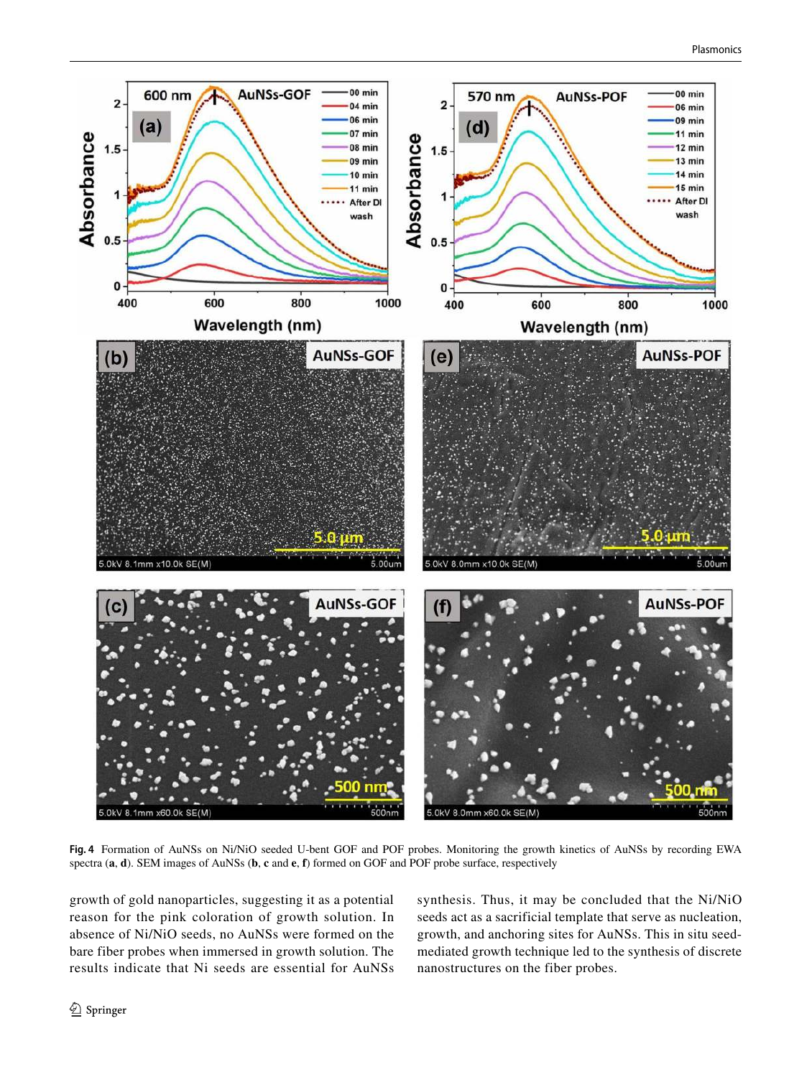

<span id="page-5-0"></span>**Fig. 4** Formation of AuNSs on Ni/NiO seeded U-bent GOF and POF probes. Monitoring the growth kinetics of AuNSs by recording EWA spectra (**a**, **d**). SEM images of AuNSs (**b**, **c** and **e**, **f**) formed on GOF and POF probe surface, respectively

growth of gold nanoparticles, suggesting it as a potential reason for the pink coloration of growth solution. In absence of Ni/NiO seeds, no AuNSs were formed on the bare fiber probes when immersed in growth solution. The results indicate that Ni seeds are essential for AuNSs synthesis. Thus, it may be concluded that the Ni/NiO seeds act as a sacrificial template that serve as nucleation, growth, and anchoring sites for AuNSs. This in situ seedmediated growth technique led to the synthesis of discrete nanostructures on the fiber probes.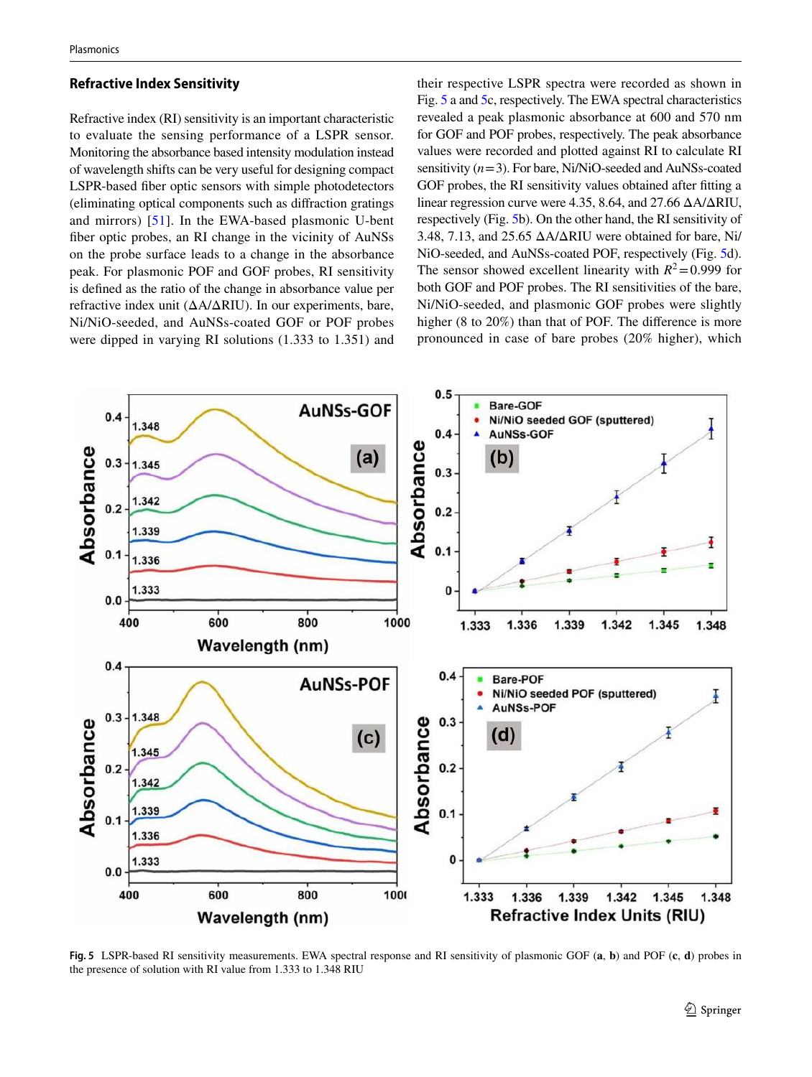#### **Refractive Index Sensitivity**

Refractive index (RI) sensitivity is an important characteristic to evaluate the sensing performance of a LSPR sensor. Monitoring the absorbance based intensity modulation instead of wavelength shifts can be very useful for designing compact LSPR-based fiber optic sensors with simple photodetectors (eliminating optical components such as diffraction gratings and mirrors) [\[51\]](#page-11-0). In the EWA-based plasmonic U-bent fiber optic probes, an RI change in the vicinity of AuNSs on the probe surface leads to a change in the absorbance peak. For plasmonic POF and GOF probes, RI sensitivity is defined as the ratio of the change in absorbance value per refractive index unit (ΔA/ΔRIU). In our experiments, bare, Ni/NiO-seeded, and AuNSs-coated GOF or POF probes were dipped in varying RI solutions (1.333 to 1.351) and their respective LSPR spectra were recorded as shown in Fig. [5](#page-6-0) a and [5c](#page-6-0), respectively. The EWA spectral characteristics revealed a peak plasmonic absorbance at 600 and 570 nm for GOF and POF probes, respectively. The peak absorbance values were recorded and plotted against RI to calculate RI sensitivity (*n* = 3). For bare, Ni/NiO-seeded and AuNSs-coated GOF probes, the RI sensitivity values obtained after fitting a linear regression curve were 4.35, 8.64, and 27.66 ΔA/ΔRIU, respectively (Fig. [5b](#page-6-0)). On the other hand, the RI sensitivity of 3.48, 7.13, and 25.65  $\triangle A/\triangle RIU$  were obtained for bare, Ni/ NiO-seeded, and AuNSs-coated POF, respectively (Fig. [5d](#page-6-0)). The sensor showed excellent linearity with  $R^2 = 0.999$  for both GOF and POF probes. The RI sensitivities of the bare, Ni/NiO-seeded, and plasmonic GOF probes were slightly higher (8 to 20%) than that of POF. The difference is more pronounced in case of bare probes (20% higher), which



<span id="page-6-0"></span>**Fig. 5** LSPR-based RI sensitivity measurements. EWA spectral response and RI sensitivity of plasmonic GOF (**a**, **b**) and POF (**c**, **d**) probes in the presence of solution with RI value from 1.333 to 1.348 RIU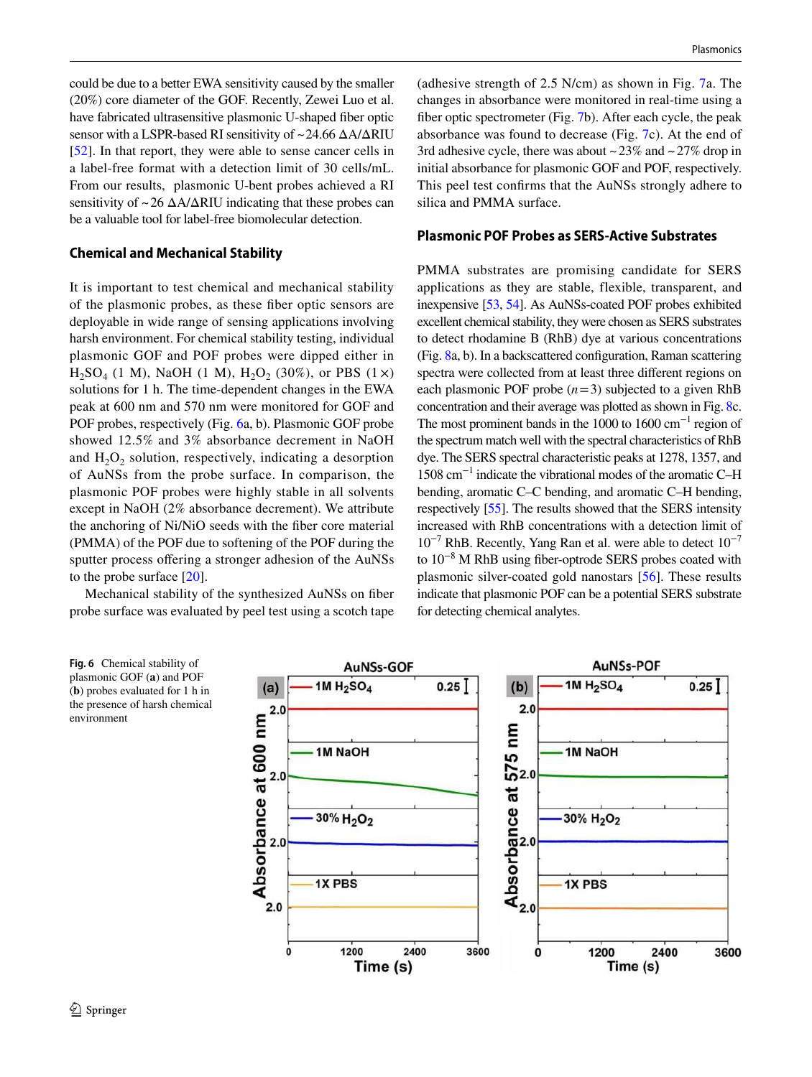could be due to a better EWA sensitivity caused by the smaller (20%) core diameter of the GOF. Recently, Zewei Luo et al. have fabricated ultrasensitive plasmonic U-shaped fiber optic sensor with a LSPR-based RI sensitivity of ~ 24.66 ΔA/ΔRIU [\[52](#page-11-1)]. In that report, they were able to sense cancer cells in a label-free format with a detection limit of 30 cells/mL. From our results, plasmonic U-bent probes achieved a RI sensitivity of  $\sim$  26  $\Delta A/\Delta R$ IU indicating that these probes can be a valuable tool for label-free biomolecular detection.

#### **Chemical and Mechanical Stability**

It is important to test chemical and mechanical stability of the plasmonic probes, as these fiber optic sensors are deployable in wide range of sensing applications involving harsh environment. For chemical stability testing, individual plasmonic GOF and POF probes were dipped either in  $H_2SO_4$  (1 M), NaOH (1 M),  $H_2O_2$  (30%), or PBS (1 ×) solutions for 1 h. The time-dependent changes in the EWA peak at 600 nm and 570 nm were monitored for GOF and POF probes, respectively (Fig. [6a](#page-7-0), b). Plasmonic GOF probe showed 12.5% and 3% absorbance decrement in NaOH and  $H_2O_2$  solution, respectively, indicating a desorption of AuNSs from the probe surface. In comparison, the plasmonic POF probes were highly stable in all solvents except in NaOH (2% absorbance decrement). We attribute the anchoring of Ni/NiO seeds with the fiber core material (PMMA) of the POF due to softening of the POF during the sputter process offering a stronger adhesion of the AuNSs to the probe surface [[20\]](#page-10-4).

Mechanical stability of the synthesized AuNSs on fiber probe surface was evaluated by peel test using a scotch tape (adhesive strength of 2.5 N/cm) as shown in Fig. [7](#page-8-0)a. The changes in absorbance were monitored in real-time using a fiber optic spectrometer (Fig. [7b](#page-8-0)). After each cycle, the peak absorbance was found to decrease (Fig. [7](#page-8-0)c). At the end of 3rd adhesive cycle, there was about  $\sim$  23% and  $\sim$  27% drop in initial absorbance for plasmonic GOF and POF, respectively. This peel test confirms that the AuNSs strongly adhere to silica and PMMA surface.

#### **Plasmonic POF Probes as SERS‑Active Substrates**

PMMA substrates are promising candidate for SERS applications as they are stable, flexible, transparent, and inexpensive [\[53,](#page-11-2) [54](#page-11-3)]. As AuNSs-coated POF probes exhibited excellent chemical stability, they were chosen as SERS substrates to detect rhodamine B (RhB) dye at various concentrations (Fig. [8](#page-8-1)a, b). In a backscattered configuration, Raman scattering spectra were collected from at least three different regions on each plasmonic POF probe  $(n=3)$  subjected to a given RhB concentration and their average was plotted as shown in Fig. [8c](#page-8-1). The most prominent bands in the 1000 to 1600 cm<sup>-1</sup> region of the spectrum match well with the spectral characteristics of RhB dye. The SERS spectral characteristic peaks at 1278, 1357, and 1508 cm−1 indicate the vibrational modes of the aromatic C–H bending, aromatic C–C bending, and aromatic C–H bending, respectively [\[55\]](#page-11-4). The results showed that the SERS intensity increased with RhB concentrations with a detection limit of  $10^{-7}$  RhB. Recently, Yang Ran et al. were able to detect  $10^{-7}$ to 10−8 M RhB using fiber-optrode SERS probes coated with plasmonic silver-coated gold nanostars [\[56](#page-11-5)]. These results indicate that plasmonic POF can be a potential SERS substrate for detecting chemical analytes.

<span id="page-7-0"></span>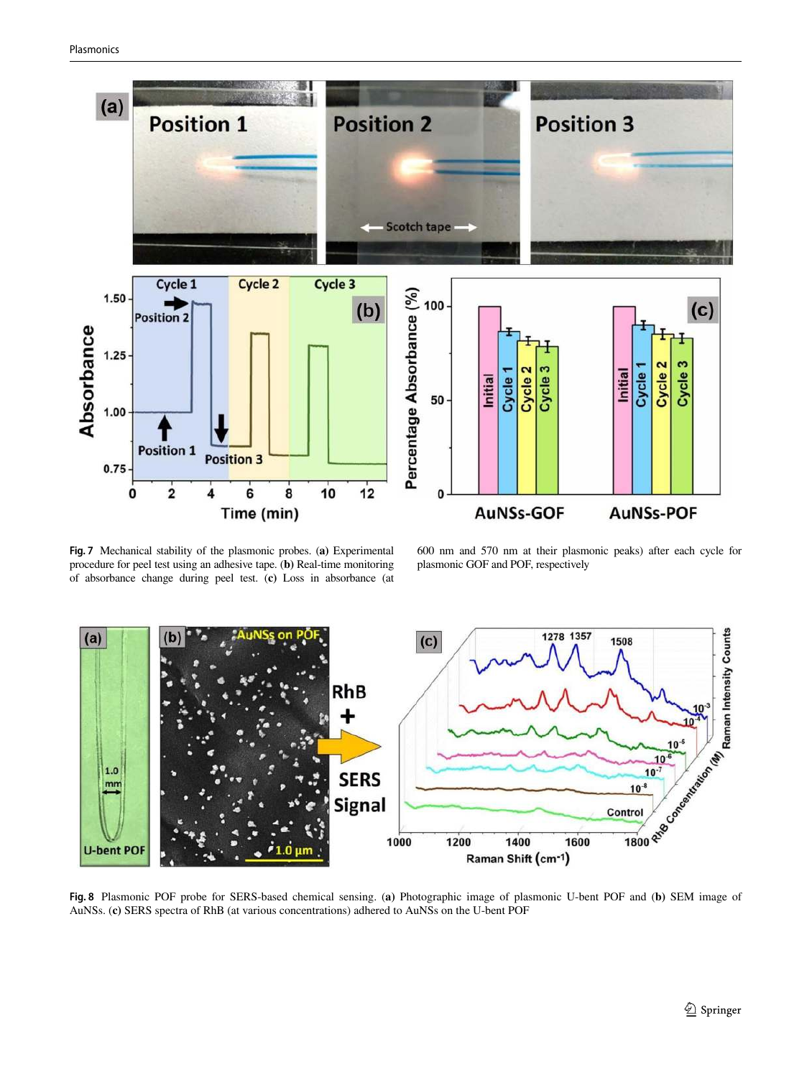

<span id="page-8-0"></span>**Fig. 7** Mechanical stability of the plasmonic probes. (**a)** Experimental procedure for peel test using an adhesive tape. (**b)** Real-time monitoring of absorbance change during peel test. (**c)** Loss in absorbance (at

600 nm and 570 nm at their plasmonic peaks) after each cycle for plasmonic GOF and POF, respectively



<span id="page-8-1"></span>AuNSs. (**c)** SERS spectra of RhB (at various concentrations) adhered to AuNSs on the U-bent POF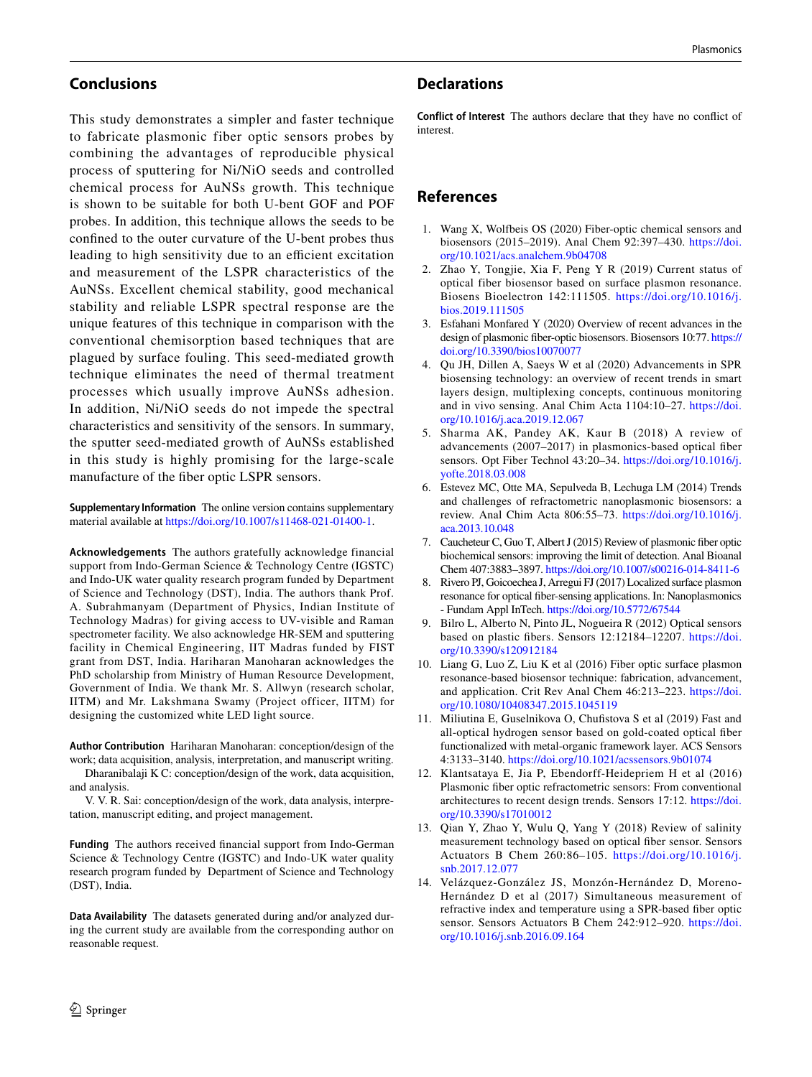# **Conclusions**

This study demonstrates a simpler and faster technique to fabricate plasmonic fiber optic sensors probes by combining the advantages of reproducible physical process of sputtering for Ni/NiO seeds and controlled chemical process for AuNSs growth. This technique is shown to be suitable for both U-bent GOF and POF probes. In addition, this technique allows the seeds to be confined to the outer curvature of the U-bent probes thus leading to high sensitivity due to an efficient excitation and measurement of the LSPR characteristics of the AuNSs. Excellent chemical stability, good mechanical stability and reliable LSPR spectral response are the unique features of this technique in comparison with the conventional chemisorption based techniques that are plagued by surface fouling. This seed-mediated growth technique eliminates the need of thermal treatment processes which usually improve AuNSs adhesion. In addition, Ni/NiO seeds do not impede the spectral characteristics and sensitivity of the sensors. In summary, the sputter seed-mediated growth of AuNSs established in this study is highly promising for the large-scale manufacture of the fiber optic LSPR sensors.

**Supplementary Information** The online version contains supplementary material available at https://doi.org/10.1007/s11468-021-01400-1.

**Acknowledgements** The authors gratefully acknowledge financial support from Indo-German Science & Technology Centre (IGSTC) and Indo-UK water quality research program funded by Department of Science and Technology (DST), India. The authors thank Prof. A. Subrahmanyam (Department of Physics, Indian Institute of Technology Madras) for giving access to UV-visible and Raman spectrometer facility. We also acknowledge HR-SEM and sputtering facility in Chemical Engineering, IIT Madras funded by FIST grant from DST, India. Hariharan Manoharan acknowledges the PhD scholarship from Ministry of Human Resource Development, Government of India. We thank Mr. S. Allwyn (research scholar, IITM) and Mr. Lakshmana Swamy (Project officer, IITM) for designing the customized white LED light source.

**Author Contribution** Hariharan Manoharan: conception/design of the work; data acquisition, analysis, interpretation, and manuscript writing.

Dharanibalaji K C: conception/design of the work, data acquisition, and analysis.

V. V. R. Sai: conception/design of the work, data analysis, interpretation, manuscript editing, and project management.

**Funding** The authors received financial support from Indo-German Science & Technology Centre (IGSTC) and Indo-UK water quality research program funded by Department of Science and Technology (DST), India.

**Data Availability** The datasets generated during and/or analyzed during the current study are available from the corresponding author on reasonable request.

# **Declarations**

**Conflict of Interest** The authors declare that they have no conflict of interest.

# **References**

- <span id="page-9-0"></span> 1. Wang X, Wolfbeis OS (2020) Fiber-optic chemical sensors and biosensors (2015–2019). Anal Chem 92:397–430. https://doi. org/10.1021/acs.analchem.9b04708
- 2. Zhao Y, Tongjie, Xia F, Peng Y R (2019) Current status of optical fiber biosensor based on surface plasmon resonance. Biosens Bioelectron 142:111505. [https ://doi.org/10.1016/j.](https://doi.org/10.1016/j.bios.2019.111505) bios.2019.111505
- <span id="page-9-1"></span> 3. Esfahani Monfared Y (2020) Overview of recent advances in the design of plasmonic fiber-optic biosensors. Biosensors 10:77. https:// doi.org/10.3390/bios10070077
- <span id="page-9-2"></span> 4. Qu JH, Dillen A, Saeys W et al (2020) Advancements in SPR biosensing technology: an overview of recent trends in smart layers design, multiplexing concepts, continuous monitoring and in vivo sensing. Anal Chim Acta 1104:10-27. https://doi. [org/10.1016/j.aca.2019.12.067](https://doi.org/10.1016/j.aca.2019.12.067)
- <span id="page-9-3"></span> 5. Sharma AK, Pandey AK, Kaur B (2018) A review of advancements (2007–2017) in plasmonics-based optical fiber sensors. Opt Fiber Technol 43:20–34. [https ://doi.org/10.1016/j.](https://doi.org/10.1016/j.yofte.2018.03.008) [yofte .2018.03.008](https://doi.org/10.1016/j.yofte.2018.03.008)
- <span id="page-9-4"></span> 6. Estevez MC, Otte MA, Sepulveda B, Lechuga LM (2014) Trends and challenges of refractometric nanoplasmonic biosensors: a review. Anal Chim Acta 806:55–73. [https ://doi.org/10.1016/j.](https://doi.org/10.1016/j.aca.2013.10.048) [aca.2013.10.048](https://doi.org/10.1016/j.aca.2013.10.048)
- <span id="page-9-5"></span> 7. Caucheteur C, Guo T, Albert J (2015) Review of plasmonic fiber optic biochemical sensors: improving the limit of detection. Anal Bioanal Chem 407:3883-3897. https://doi.org/10.1007/s00216-014-8411-6
- <span id="page-9-6"></span> 8. Rivero PJ, Goicoechea J, Arregui FJ (2017) Localized surface plasmon resonance for optical fiber-sensing applications. In: Nanoplasmonics - Fundam Appl InTech. [https ://doi.org/10.5772/67544](https://doi.org/10.5772/67544)
- <span id="page-9-7"></span> 9. Bilro L, Alberto N, Pinto JL, Nogueira R (2012) Optical sensors based on plastic fibers. Sensors 12:12184-12207. https://doi. [org/10.3390/s1209 12184](https://doi.org/10.3390/s120912184)
- 10. Liang G, Luo Z, Liu K et al (2016) Fiber optic surface plasmon resonance-based biosensor technique: fabrication, advancement, and application. Crit Rev Anal Chem 46:213-223. https://doi. org/10.1080/10408347.2015.1045119
- <span id="page-9-8"></span> 11. Miliutina E, Guselnikova O, Chufistova S et al (2019) Fast and all-optical hydrogen sensor based on gold-coated optical fiber functionalized with metal-organic framework layer. ACS Sensors 4:3133-3140. https://doi.org/10.1021/acssensors.9b01074
- <span id="page-9-9"></span> 12. Klantsataya E, Jia P, Ebendorff-Heidepriem H et al (2016) Plasmonic fiber optic refractometric sensors: From conventional architectures to recent design trends. Sensors 17:12. [https ://doi.](https://doi.org/10.3390/s17010012) org/10.3390/s17010012
- 13. Qian Y, Zhao Y, Wulu Q, Yang Y (2018) Review of salinity measurement technology based on optical fiber sensor. Sensors Actuators B Chem 260:86–105. [https ://doi.org/10.1016/j.](https://doi.org/10.1016/j.snb.2017.12.077) [snb.2017.12.077](https://doi.org/10.1016/j.snb.2017.12.077)
- 14. Velázquez-González JS, Monzón-Hernández D, Moreno-Hernández D et al (2017) Simultaneous measurement of refractive index and temperature using a SPR-based fiber optic sensor. Sensors Actuators B Chem 242:912-920. https://doi. [org/10.1016/j.snb.2016.09.164](https://doi.org/10.1016/j.snb.2016.09.164)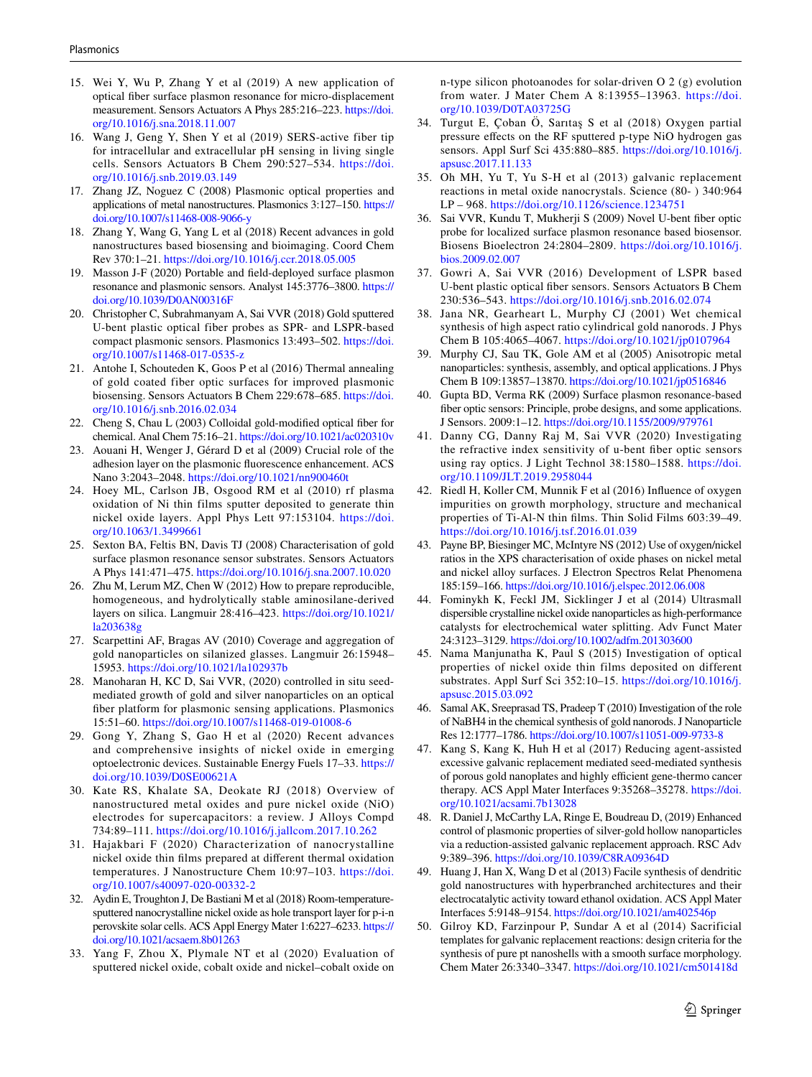- 15. Wei Y, Wu P, Zhang Y et al (2019) A new application of optical fiber surface plasmon resonance for micro-displacement measurement. Sensors Actuators A Phys 285:216–223. [https ://doi.](https://doi.org/10.1016/j.sna.2018.11.007) [org/10.1016/j.sna.2018.11.007](https://doi.org/10.1016/j.sna.2018.11.007)
- <span id="page-10-0"></span> 16. Wang J, Geng Y, Shen Y et al (2019) SERS-active fiber tip for intracellular and extracellular pH sensing in living single cells. Sensors Actuators B Chem 290:527–534. [https ://doi.](https://doi.org/10.1016/j.snb.2019.03.149) [org/10.1016/j.snb.2019.03.149](https://doi.org/10.1016/j.snb.2019.03.149)
- <span id="page-10-1"></span> 17. Zhang JZ, Noguez C (2008) Plasmonic optical properties and applications of metal nanostructures. Plasmonics 3:127-150. https:// doi.org/10.1007/s11468-008-9066-y
- <span id="page-10-2"></span> 18. Zhang Y, Wang G, Yang L et al (2018) Recent advances in gold nanostructures based biosensing and bioimaging. Coord Chem Rev 370:1–21. [https ://doi.org/10.1016/j.ccr.2018.05.005](https://doi.org/10.1016/j.ccr.2018.05.005)
- <span id="page-10-3"></span> 19. Masson J-F (2020) Portable and field-deployed surface plasmon resonance and plasmonic sensors. Analyst 145:3776–3800. [https ://](https://doi.org/10.1039/D0AN00316F) doi.org/10.1039/D0AN00316F
- <span id="page-10-4"></span> 20. Christopher C, Subrahmanyam A, Sai VVR (2018) Gold sputtered U-bent plastic optical fiber probes as SPR- and LSPR-based compact plasmonic sensors. Plasmonics 13:493-502. https://doi. org/10.1007/s11468-017-0535-z
- <span id="page-10-5"></span> 21. Antohe I, Schouteden K, Goos P et al (2016) Thermal annealing of gold coated fiber optic surfaces for improved plasmonic biosensing. Sensors Actuators B Chem 229:678-685. https://doi. [org/10.1016/j.snb.2016.02.034](https://doi.org/10.1016/j.snb.2016.02.034)
- <span id="page-10-6"></span>Cheng S, Chau L (2003) Colloidal gold-modified optical fiber for chemical. Anal Chem 75:16-21. https://doi.org/10.1021/ac020310v
- <span id="page-10-7"></span> 23. Aouani H, Wenger J, Gérard D et al (2009) Crucial role of the adhesion layer on the plasmonic fluorescence enhancement. ACS Nano 3:2043–2048. https://doi.org/10.1021/nn900460t
- <span id="page-10-8"></span> 24. Hoey ML, Carlson JB, Osgood RM et al (2010) rf plasma oxidation of Ni thin films sputter deposited to generate thin nickel oxide layers. Appl Phys Lett 97:153104. https://doi. org/10.1063/1.3499661
- <span id="page-10-9"></span> 25. Sexton BA, Feltis BN, Davis TJ (2008) Characterisation of gold surface plasmon resonance sensor substrates. Sensors Actuators A Phys 141:471–475. [https ://doi.org/10.1016/j.sna.2007.10.020](https://doi.org/10.1016/j.sna.2007.10.020)
- <span id="page-10-10"></span> 26. Zhu M, Lerum MZ, Chen W (2012) How to prepare reproducible, homogeneous, and hydrolytically stable aminosilane-derived layers on silica. Langmuir 28:416–423. [https ://doi.org/10.1021/](https://doi.org/10.1021/la203638g) la203638g
- <span id="page-10-11"></span> 27. Scarpettini AF, Bragas AV (2010) Coverage and aggregation of gold nanoparticles on silanized glasses. Langmuir 26:15948– 15953. https://doi.org/10.1021/la102937b
- <span id="page-10-12"></span> 28. Manoharan H, KC D, Sai VVR, (2020) controlled in situ seedmediated growth of gold and silver nanoparticles on an optical fiber platform for plasmonic sensing applications. Plasmonics 15:51-60. https://doi.org/10.1007/s11468-019-01008-6
- <span id="page-10-13"></span> 29. Gong Y, Zhang S, Gao H et al (2020) Recent advances and comprehensive insights of nickel oxide in emerging optoelectronic devices. Sustainable Energy Fuels 17–33. [https ://](https://doi.org/10.1039/D0SE00621A) doi.org/10.1039/D0SE00621A
- 30. Kate RS, Khalate SA, Deokate RJ (2018) Overview of nanostructured metal oxides and pure nickel oxide (NiO) electrodes for supercapacitors: a review. J Alloys Compd 734:89-111. https://doi.org/10.1016/j.jallcom.2017.10.262
- <span id="page-10-14"></span> 31. Hajakbari F (2020) Characterization of nanocrystalline nickel oxide thin films prepared at different thermal oxidation temperatures. J Nanostructure Chem 10:97–103. [https ://doi.](https://doi.org/10.1007/s40097-020-00332-2) org/10.1007/s40097-020-00332-2
- <span id="page-10-15"></span> 32. Aydin E, Troughton J, De Bastiani M et al (2018) Room-temperaturesputtered nanocrystalline nickel oxide as hole transport layer for p-i-n perovskite solar cells. ACS Appl Energy Mater 1:6227-6233. https:// doi.org/10.1021/acsaem.8b01263
- 33. Yang F, Zhou X, Plymale NT et al (2020) Evaluation of sputtered nickel oxide, cobalt oxide and nickel–cobalt oxide on

n-type silicon photoanodes for solar-driven O 2 (g) evolution from water. J Mater Chem A 8:13955-13963. https://doi. org/10.1039/D0TA03725G

- <span id="page-10-16"></span> 34. Turgut E, Çoban Ö, Sarıtaş S et al (2018) Oxygen partial pressure effects on the RF sputtered p-type NiO hydrogen gas sensors. Appl Surf Sci 435:880–885. [https ://doi.org/10.1016/j.](https://doi.org/10.1016/j.apsusc.2017.11.133) apsusc.2017.11.133
- <span id="page-10-17"></span> 35. Oh MH, Yu T, Yu S-H et al (2013) galvanic replacement reactions in metal oxide nanocrystals. Science (80- ) 340:964 LP – 968. https://doi.org/10.1126/science.1234751
- <span id="page-10-18"></span> 36. Sai VVR, Kundu T, Mukherji S (2009) Novel U-bent fiber optic probe for localized surface plasmon resonance based biosensor. Biosens Bioelectron 24:2804–2809. [https ://doi.org/10.1016/j.](https://doi.org/10.1016/j.bios.2009.02.007) [bios.2009.02.007](https://doi.org/10.1016/j.bios.2009.02.007)
- <span id="page-10-19"></span> 37. Gowri A, Sai VVR (2016) Development of LSPR based U-bent plastic optical fiber sensors. Sensors Actuators B Chem 230:536–543. [https ://doi.org/10.1016/j.snb.2016.02.074](https://doi.org/10.1016/j.snb.2016.02.074)
- <span id="page-10-20"></span> 38. Jana NR, Gearheart L, Murphy CJ (2001) Wet chemical synthesis of high aspect ratio cylindrical gold nanorods. J Phys Chem B 105:4065-4067. https://doi.org/10.1021/jp0107964
- <span id="page-10-21"></span> 39. Murphy CJ, Sau TK, Gole AM et al (2005) Anisotropic metal nanoparticles: synthesis, assembly, and optical applications. J Phys Chem B 109:13857–13870. [https ://doi.org/10.1021/jp051 6846](https://doi.org/10.1021/jp0516846)
- <span id="page-10-22"></span> 40. Gupta BD, Verma RK (2009) Surface plasmon resonance-based fiber optic sensors: Principle, probe designs, and some applications. J Sensors. 2009:1–12. [https ://doi.org/10.1155/2009/97976 1](https://doi.org/10.1155/2009/979761)
- <span id="page-10-23"></span> 41. Danny CG, Danny Raj M, Sai VVR (2020) Investigating the refractive index sensitivity of u-bent fiber optic sensors using ray optics. J Light Technol 38:1580-1588. https://doi. org/10.1109/JLT.2019.2958044
- <span id="page-10-24"></span> 42. Riedl H, Koller CM, Munnik F et al (2016) Influence of oxygen impurities on growth morphology, structure and mechanical properties of Ti-Al-N thin films. Thin Solid Films 603:39–49. [https ://doi.org/10.1016/j.tsf.2016.01.039](https://doi.org/10.1016/j.tsf.2016.01.039)
- <span id="page-10-25"></span> 43. Payne BP, Biesinger MC, McIntyre NS (2012) Use of oxygen/nickel ratios in the XPS characterisation of oxide phases on nickel metal and nickel alloy surfaces. J Electron Spectros Relat Phenomena 185:159-166. https://doi.org/10.1016/j.elspec.2012.06.008
- <span id="page-10-26"></span> 44. Fominykh K, Feckl JM, Sicklinger J et al (2014) Ultrasmall dispersible crystalline nickel oxide nanoparticles as high-performance catalysts for electrochemical water splitting. Adv Funct Mater 24:3123-3129. https://doi.org/10.1002/adfm.201303600
- <span id="page-10-27"></span> 45. Nama Manjunatha K, Paul S (2015) Investigation of optical properties of nickel oxide thin films deposited on different substrates. Appl Surf Sci 352:10–15. [https ://doi.org/10.1016/j.](https://doi.org/10.1016/j.apsusc.2015.03.092) apsusc.2015.03.092
- <span id="page-10-28"></span> 46. Samal AK, Sreeprasad TS, Pradeep T (2010) Investigation of the role of NaBH4 in the chemical synthesis of gold nanorods. J Nanoparticle Res 12:1777–1786. [https ://doi.org/10.1007/s1105 1-009-9733-8](https://doi.org/10.1007/s11051-009-9733-8)
- <span id="page-10-29"></span> 47. Kang S, Kang K, Huh H et al (2017) Reducing agent-assisted excessive galvanic replacement mediated seed-mediated synthesis of porous gold nanoplates and highly efficient gene-thermo cancer therapy. ACS Appl Mater Interfaces 9:35268-35278. https://doi. org/10.1021/acsami.7b13028
- <span id="page-10-30"></span> 48. R. Daniel J, McCarthy LA, Ringe E, Boudreau D, (2019) Enhanced control of plasmonic properties of silver-gold hollow nanoparticles via a reduction-assisted galvanic replacement approach. RSC Adv 9:389-396. https://doi.org/10.1039/C8RA09364D
- <span id="page-10-31"></span> 49. Huang J, Han X, Wang D et al (2013) Facile synthesis of dendritic gold nanostructures with hyperbranched architectures and their electrocatalytic activity toward ethanol oxidation. ACS Appl Mater Interfaces 5:9148-9154. https://doi.org/10.1021/am402546p
- <span id="page-10-32"></span> 50. Gilroy KD, Farzinpour P, Sundar A et al (2014) Sacrificial templates for galvanic replacement reactions: design criteria for the synthesis of pure pt nanoshells with a smooth surface morphology. Chem Mater 26:3340–3347. [https ://doi.org/10.1021/cm501 418d](https://doi.org/10.1021/cm501418d)